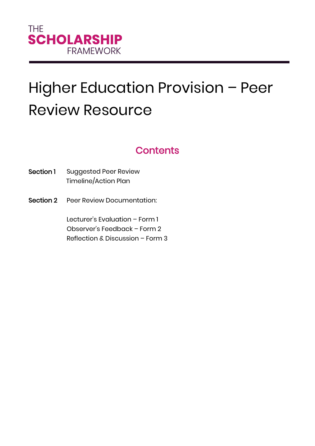# Higher Education Provision – Peer Review Resource

## **Contents**

- Section 1 Suggested Peer Review Timeline/Action Plan
- Section 2 Peer Review Documentation:

Lecturer's Evaluation – Form 1 Observer's Feedback – Form 2 Reflection & Discussion – Form 3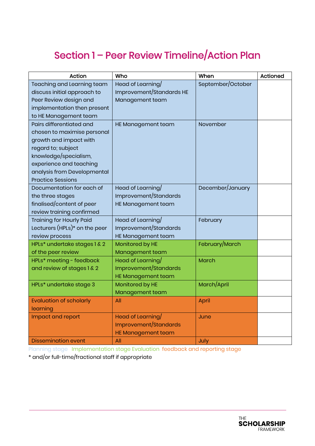## Section 1 – Peer Review Timeline/Action Plan

| <b>Action</b>                   | Who                       | When              | Actioned |
|---------------------------------|---------------------------|-------------------|----------|
| Teaching and Learning team      | Head of Learning/         | September/October |          |
| discuss initial approach to     | Improvement/Standards HE  |                   |          |
| Peer Review design and          | Management team           |                   |          |
| implementation then present     |                           |                   |          |
| to HE Management team           |                           |                   |          |
| Pairs differentiated and        | HE Management team        | November          |          |
| chosen to maximise personal     |                           |                   |          |
| growth and impact with          |                           |                   |          |
| regard to; subject              |                           |                   |          |
| knowledge/specialism,           |                           |                   |          |
| experience and teaching         |                           |                   |          |
| analysis from Developmental     |                           |                   |          |
| <b>Practice Sessions</b>        |                           |                   |          |
| Documentation for each of       | Head of Learning/         | December/January  |          |
| the three stages                | Improvement/Standards     |                   |          |
| finalised/content of peer       | HE Management team        |                   |          |
| review training confirmed       |                           |                   |          |
| <b>Training for Hourly Paid</b> | Head of Learning/         | February          |          |
| Lecturers (HPLs)* on the peer   | Improvement/Standards     |                   |          |
| review process                  | HE Management team        |                   |          |
| HPLs* undertake stages 1 & 2    | Monitored by HE           | February/March    |          |
| of the peer review              | Management team           |                   |          |
| HPLs* meeting - feedback        | Head of Learning/         | <b>March</b>      |          |
| and review of stages 1 & 2      | Improvement/Standards     |                   |          |
|                                 | <b>HE Management team</b> |                   |          |
| HPLs* undertake stage 3         | Monitored by HE           | March/April       |          |
|                                 | Management team           |                   |          |
| <b>Evaluation of scholarly</b>  | All                       | April             |          |
| learning                        |                           |                   |          |
| Impact and report               | Head of Learning/         | June              |          |
|                                 | Improvement/Standards     |                   |          |
|                                 | <b>HE Management team</b> |                   |          |
| <b>Dissemination event</b>      | All                       | July              |          |

Planning stage Implementation stage Evaluation feedback and reporting stage

\* and/or full-time/fractional staff if appropriate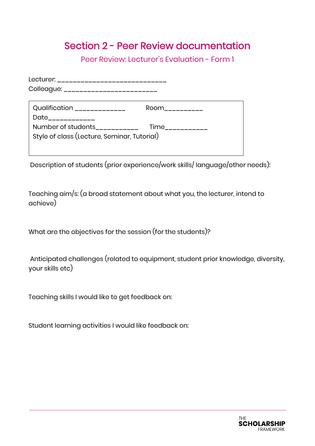### Section 2 - Peer Review documentation

Peer Review: Lecturer's Evaluation - Form 1

| Lecturer: _____________________________     |                  |  |
|---------------------------------------------|------------------|--|
| Colleague: __________________________       |                  |  |
| Qualification ______________                | Room __________  |  |
| Date____________                            |                  |  |
| Number of students___________               | Time____________ |  |
| Style of class (Lecture, Seminar, Tutorial) |                  |  |
|                                             |                  |  |

Description of students (prior experience/work skills/ language/other needs):

Teaching aim/s: (a broad statement about what you, the lecturer, intend to achieve)

What are the objectives for the session (for the students)?

Anticipated challenges (related to equipment, student prior knowledge, diversity, your skills etc)

Teaching skills I would like to get feedback on:

Student learning activities I would like feedback on:

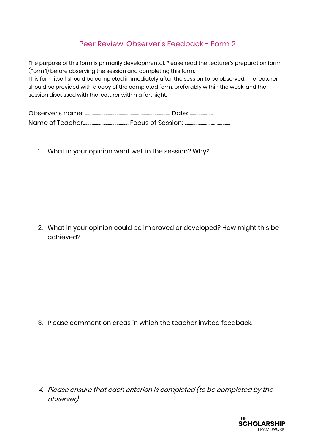#### Peer Review: Observer's Feedback - Form 2

The purpose of this form is primarily developmental. Please read the Lecturer's preparation form (Form 1) before observing the session and completing this form. This form itself should be completed immediately after the session to be observed. The lecturer should be provided with a copy of the completed form, preferably within the week, and the session discussed with the lecturer within a fortnight.

Observer's name: ........................................................................…… Date: ...............…... Name of Teacher.......................................... Focus of Session: .......................……………...

1. What in your opinion went well in the session? Why?

2. What in your opinion could be improved or developed? How might this be achieved?

3. Please comment on areas in which the teacher invited feedback.

4. Please ensure that each criterion is completed (to be completed by the observer)

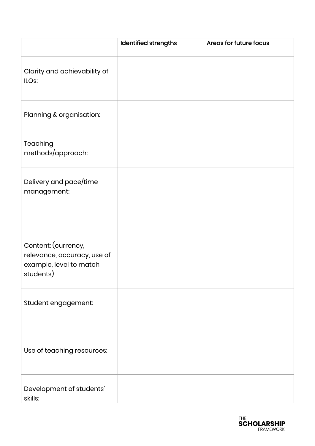|                                                                                            | Identified strengths | Areas for future focus |
|--------------------------------------------------------------------------------------------|----------------------|------------------------|
| Clarity and achievability of<br>ILO <sub>s</sub> :                                         |                      |                        |
| Planning & organisation:                                                                   |                      |                        |
| Teaching<br>methods/approach:                                                              |                      |                        |
| Delivery and pace/time<br>management:                                                      |                      |                        |
| Content: (currency,<br>relevance, accuracy, use of<br>example, level to match<br>students) |                      |                        |
| Student engagement:                                                                        |                      |                        |
| Use of teaching resources:                                                                 |                      |                        |
| Development of students'<br>skills:                                                        |                      |                        |

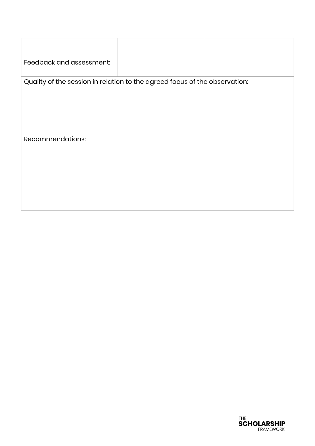| Feedback and assessment:                                                   |  |  |  |  |
|----------------------------------------------------------------------------|--|--|--|--|
| Quality of the session in relation to the agreed focus of the observation: |  |  |  |  |
|                                                                            |  |  |  |  |
|                                                                            |  |  |  |  |
|                                                                            |  |  |  |  |
|                                                                            |  |  |  |  |
|                                                                            |  |  |  |  |
| Recommendations:                                                           |  |  |  |  |
|                                                                            |  |  |  |  |
|                                                                            |  |  |  |  |
|                                                                            |  |  |  |  |
|                                                                            |  |  |  |  |
|                                                                            |  |  |  |  |
|                                                                            |  |  |  |  |